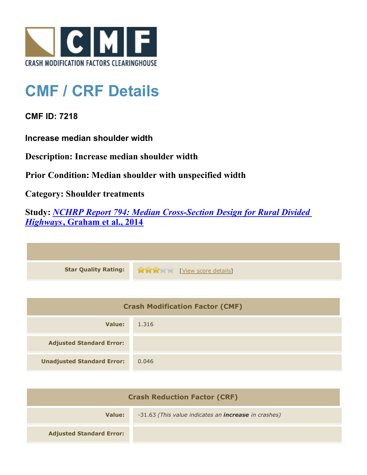

## **CMF / CRF Details**

**CMF ID: 7218**

**Increase median shoulder width**

**Description: Increase median shoulder width**

**Prior Condition: Median shoulder with unspecified width**

**Category: Shoulder treatments**

**Study:** *[NCHRP Report 794: Median Cross-Section Design for Rural Divided](http://www.cmfclearinghouse.org/study_detail.cfm?stid=420) [Highways](http://www.cmfclearinghouse.org/study_detail.cfm?stid=420)***[, Graham et al., 2014](http://www.cmfclearinghouse.org/study_detail.cfm?stid=420)**

| Star Quality Rating: 1999 [View score details] |
|------------------------------------------------|

| <b>Crash Modification Factor (CMF)</b> |       |
|----------------------------------------|-------|
| Value:                                 | 1.316 |
| <b>Adjusted Standard Error:</b>        |       |
| <b>Unadjusted Standard Error:</b>      | 0.046 |

| <b>Crash Reduction Factor (CRF)</b> |                                                             |
|-------------------------------------|-------------------------------------------------------------|
| Value:                              | -31.63 (This value indicates an <b>increase</b> in crashes) |
| <b>Adjusted Standard Error:</b>     |                                                             |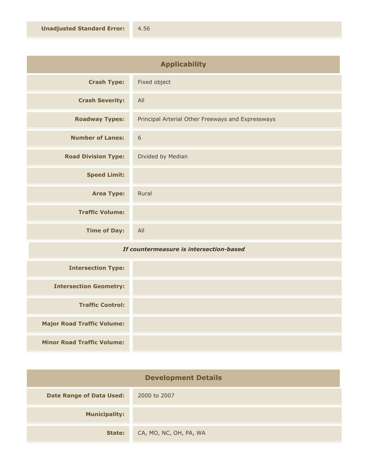| <b>Applicability</b>       |                                                   |
|----------------------------|---------------------------------------------------|
| <b>Crash Type:</b>         | Fixed object                                      |
| <b>Crash Severity:</b>     | All                                               |
| <b>Roadway Types:</b>      | Principal Arterial Other Freeways and Expressways |
| <b>Number of Lanes:</b>    | 6                                                 |
| <b>Road Division Type:</b> | Divided by Median                                 |
| <b>Speed Limit:</b>        |                                                   |
| <b>Area Type:</b>          | Rural                                             |
| <b>Traffic Volume:</b>     |                                                   |
| <b>Time of Day:</b>        | All                                               |

## *If countermeasure is intersection-based*

| <b>Intersection Type:</b>         |  |
|-----------------------------------|--|
| <b>Intersection Geometry:</b>     |  |
| <b>Traffic Control:</b>           |  |
| <b>Major Road Traffic Volume:</b> |  |
| <b>Minor Road Traffic Volume:</b> |  |

| <b>Development Details</b>      |                        |
|---------------------------------|------------------------|
| <b>Date Range of Data Used:</b> | 2000 to 2007           |
| <b>Municipality:</b>            |                        |
| State:                          | CA, MO, NC, OH, PA, WA |